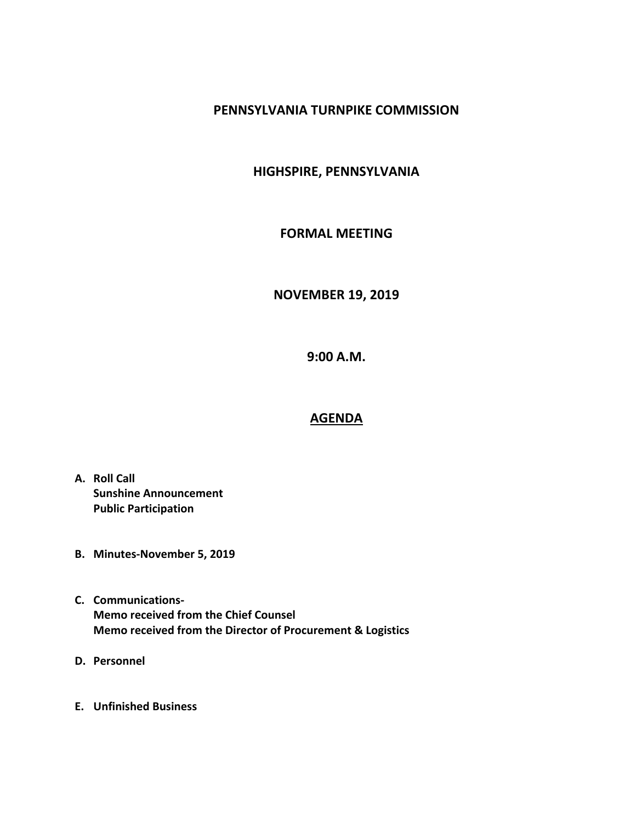# **PENNSYLVANIA TURNPIKE COMMISSION**

# **HIGHSPIRE, PENNSYLVANIA**

### **FORMAL MEETING**

#### **NOVEMBER 19, 2019**

**9:00 A.M.**

### **AGENDA**

- **A. Roll Call Sunshine Announcement Public Participation**
- **B. Minutes-November 5, 2019**
- **C. Communications-Memo received from the Chief Counsel Memo received from the Director of Procurement & Logistics**
- **D. Personnel**
- **E. Unfinished Business**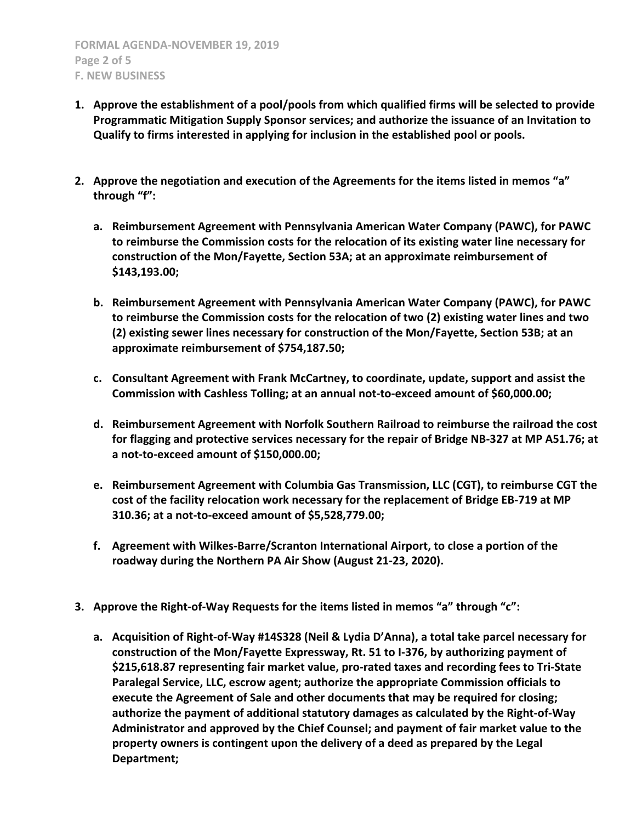- **1. Approve the establishment of a pool/pools from which qualified firms will be selected to provide Programmatic Mitigation Supply Sponsor services; and authorize the issuance of an Invitation to Qualify to firms interested in applying for inclusion in the established pool or pools.**
- **2. Approve the negotiation and execution of the Agreements for the items listed in memos "a" through "f":**
	- **a. Reimbursement Agreement with Pennsylvania American Water Company (PAWC), for PAWC to reimburse the Commission costs for the relocation of its existing water line necessary for construction of the Mon/Fayette, Section 53A; at an approximate reimbursement of \$143,193.00;**
	- **b. Reimbursement Agreement with Pennsylvania American Water Company (PAWC), for PAWC to reimburse the Commission costs for the relocation of two (2) existing water lines and two (2) existing sewer lines necessary for construction of the Mon/Fayette, Section 53B; at an approximate reimbursement of \$754,187.50;**
	- **c. Consultant Agreement with Frank McCartney, to coordinate, update, support and assist the Commission with Cashless Tolling; at an annual not-to-exceed amount of \$60,000.00;**
	- **d. Reimbursement Agreement with Norfolk Southern Railroad to reimburse the railroad the cost for flagging and protective services necessary for the repair of Bridge NB-327 at MP A51.76; at a not-to-exceed amount of \$150,000.00;**
	- **e. Reimbursement Agreement with Columbia Gas Transmission, LLC (CGT), to reimburse CGT the cost of the facility relocation work necessary for the replacement of Bridge EB-719 at MP 310.36; at a not-to-exceed amount of \$5,528,779.00;**
	- **f. Agreement with Wilkes-Barre/Scranton International Airport, to close a portion of the roadway during the Northern PA Air Show (August 21-23, 2020).**
- **3. Approve the Right-of-Way Requests for the items listed in memos "a" through "c":**
	- **a. Acquisition of Right-of-Way #14S328 (Neil & Lydia D'Anna), a total take parcel necessary for construction of the Mon/Fayette Expressway, Rt. 51 to I-376, by authorizing payment of \$215,618.87 representing fair market value, pro-rated taxes and recording fees to Tri-State Paralegal Service, LLC, escrow agent; authorize the appropriate Commission officials to execute the Agreement of Sale and other documents that may be required for closing; authorize the payment of additional statutory damages as calculated by the Right-of-Way Administrator and approved by the Chief Counsel; and payment of fair market value to the property owners is contingent upon the delivery of a deed as prepared by the Legal Department;**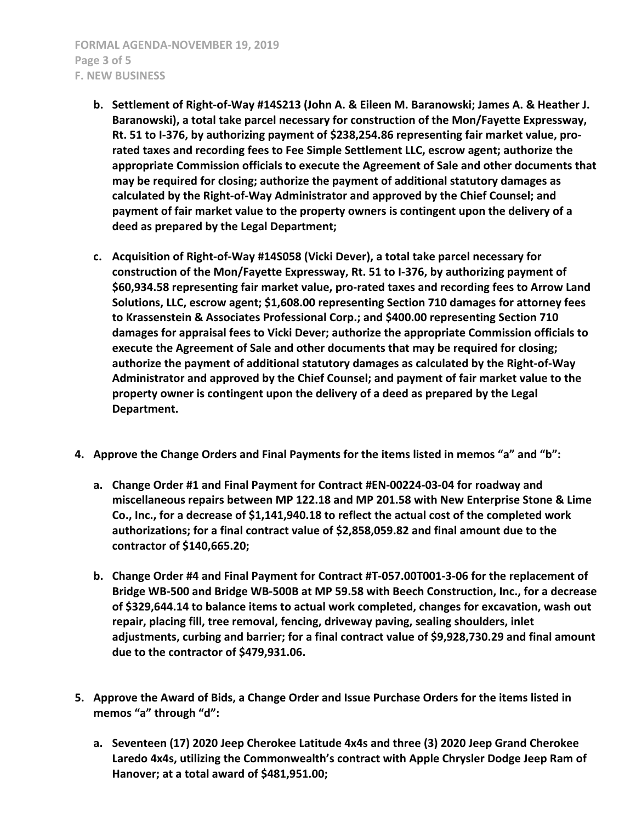**FORMAL AGENDA-NOVEMBER 19, 2019 Page 3 of 5 F. NEW BUSINESS**

- **b. Settlement of Right-of-Way #14S213 (John A. & Eileen M. Baranowski; James A. & Heather J. Baranowski), a total take parcel necessary for construction of the Mon/Fayette Expressway, Rt. 51 to I-376, by authorizing payment of \$238,254.86 representing fair market value, prorated taxes and recording fees to Fee Simple Settlement LLC, escrow agent; authorize the appropriate Commission officials to execute the Agreement of Sale and other documents that may be required for closing; authorize the payment of additional statutory damages as calculated by the Right-of-Way Administrator and approved by the Chief Counsel; and payment of fair market value to the property owners is contingent upon the delivery of a deed as prepared by the Legal Department;**
- **c. Acquisition of Right-of-Way #14S058 (Vicki Dever), a total take parcel necessary for construction of the Mon/Fayette Expressway, Rt. 51 to I-376, by authorizing payment of \$60,934.58 representing fair market value, pro-rated taxes and recording fees to Arrow Land Solutions, LLC, escrow agent; \$1,608.00 representing Section 710 damages for attorney fees to Krassenstein & Associates Professional Corp.; and \$400.00 representing Section 710 damages for appraisal fees to Vicki Dever; authorize the appropriate Commission officials to execute the Agreement of Sale and other documents that may be required for closing; authorize the payment of additional statutory damages as calculated by the Right-of-Way Administrator and approved by the Chief Counsel; and payment of fair market value to the property owner is contingent upon the delivery of a deed as prepared by the Legal Department.**
- **4. Approve the Change Orders and Final Payments for the items listed in memos "a" and "b":**
	- **a. Change Order #1 and Final Payment for Contract #EN-00224-03-04 for roadway and miscellaneous repairs between MP 122.18 and MP 201.58 with New Enterprise Stone & Lime Co., Inc., for a decrease of \$1,141,940.18 to reflect the actual cost of the completed work authorizations; for a final contract value of \$2,858,059.82 and final amount due to the contractor of \$140,665.20;**
	- **b. Change Order #4 and Final Payment for Contract #T-057.00T001-3-06 for the replacement of Bridge WB-500 and Bridge WB-500B at MP 59.58 with Beech Construction, Inc., for a decrease of \$329,644.14 to balance items to actual work completed, changes for excavation, wash out repair, placing fill, tree removal, fencing, driveway paving, sealing shoulders, inlet adjustments, curbing and barrier; for a final contract value of \$9,928,730.29 and final amount due to the contractor of \$479,931.06.**
- **5. Approve the Award of Bids, a Change Order and Issue Purchase Orders for the items listed in memos "a" through "d":**
	- **a. Seventeen (17) 2020 Jeep Cherokee Latitude 4x4s and three (3) 2020 Jeep Grand Cherokee Laredo 4x4s, utilizing the Commonwealth's contract with Apple Chrysler Dodge Jeep Ram of Hanover; at a total award of \$481,951.00;**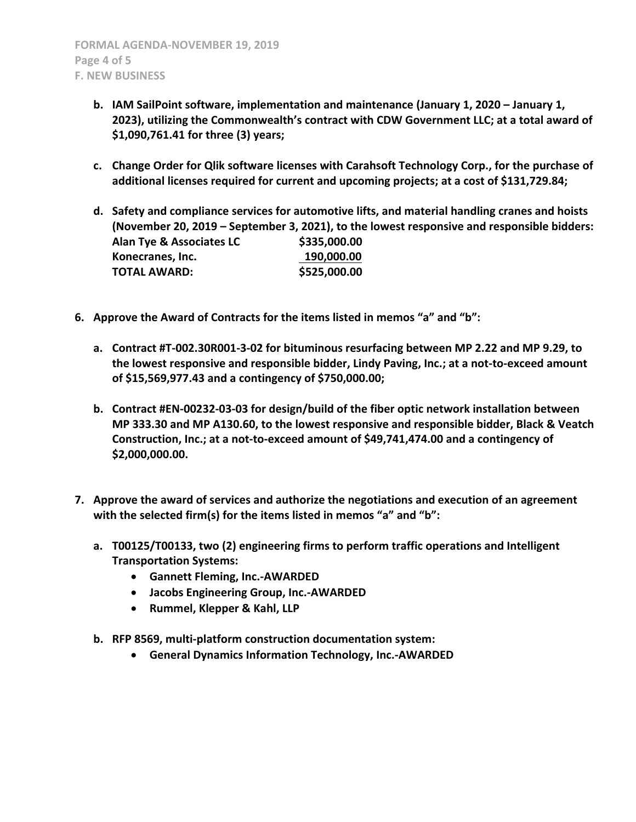- **b. IAM SailPoint software, implementation and maintenance (January 1, 2020 – January 1, 2023), utilizing the Commonwealth's contract with CDW Government LLC; at a total award of \$1,090,761.41 for three (3) years;**
- **c. Change Order for Qlik software licenses with Carahsoft Technology Corp., for the purchase of additional licenses required for current and upcoming projects; at a cost of \$131,729.84;**
- **d. Safety and compliance services for automotive lifts, and material handling cranes and hoists (November 20, 2019 – September 3, 2021), to the lowest responsive and responsible bidders: Alan Tye & Associates LC \$335,000.00 Konecranes, Inc.** 190,000.00 **TOTAL AWARD: \$525,000.00**
- **6. Approve the Award of Contracts for the items listed in memos "a" and "b":**
	- **a. Contract #T-002.30R001-3-02 for bituminous resurfacing between MP 2.22 and MP 9.29, to the lowest responsive and responsible bidder, Lindy Paving, Inc.; at a not-to-exceed amount of \$15,569,977.43 and a contingency of \$750,000.00;**
	- **b. Contract #EN-00232-03-03 for design/build of the fiber optic network installation between MP 333.30 and MP A130.60, to the lowest responsive and responsible bidder, Black & Veatch Construction, Inc.; at a not-to-exceed amount of \$49,741,474.00 and a contingency of \$2,000,000.00.**
- **7. Approve the award of services and authorize the negotiations and execution of an agreement with the selected firm(s) for the items listed in memos "a" and "b":**
	- **a. T00125/T00133, two (2) engineering firms to perform traffic operations and Intelligent Transportation Systems:**
		- **Gannett Fleming, Inc.-AWARDED**
		- **Jacobs Engineering Group, Inc.-AWARDED**
		- **Rummel, Klepper & Kahl, LLP**
	- **b. RFP 8569, multi-platform construction documentation system:**
		- **General Dynamics Information Technology, Inc.-AWARDED**